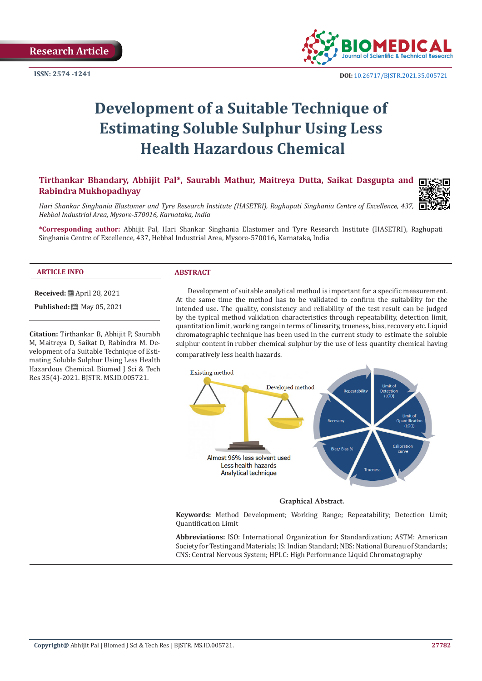**ISSN: 2574 -1241**



# **Development of a Suitable Technique of Estimating Soluble Sulphur Using Less Health Hazardous Chemical**

# **Tirthankar Bhandary, Abhijit Pal\*, Saurabh Mathur, Maitreya Dutta, Saikat Dasgupta and Rabindra Mukhopadhyay**



*Hari Shankar Singhania Elastomer and Tyre Research Institute (HASETRI), Raghupati Singhania Centre of Excellence, 437, Hebbal Industrial Area, Mysore-570016, Karnataka, India*

**\*Corresponding author:** Abhijit Pal, Hari Shankar Singhania Elastomer and Tyre Research Institute (HASETRI), Raghupati Singhania Centre of Excellence, 437, Hebbal Industrial Area, Mysore-570016, Karnataka, India

#### **ARTICLE INFO ABSTRACT**

**Received:** April 28, 2021 **Published:** 圖 May 05, 2021

**Citation:** Tirthankar B, Abhijit P, Saurabh M, Maitreya D, Saikat D, Rabindra M. Development of a Suitable Technique of Estimating Soluble Sulphur Using Less Health Hazardous Chemical. Biomed J Sci & Tech Res 35(4)-2021. BJSTR. MS.ID.005721.

Development of suitable analytical method is important for a specific measurement. At the same time the method has to be validated to confirm the suitability for the intended use. The quality, consistency and reliability of the test result can be judged by the typical method validation characteristics through repeatability, detection limit, quantitation limit, working range in terms of linearity, trueness, bias, recovery etc. Liquid chromatographic technique has been used in the current study to estimate the soluble sulphur content in rubber chemical sulphur by the use of less quantity chemical having comparatively less health hazards.



#### **Graphical Abstract.**

**Keywords:** Method Development; Working Range; Repeatability; Detection Limit; Quantification Limit

**Abbreviations:** ISO: International Organization for Standardization; ASTM: American Society for Testing and Materials; IS: Indian Standard; NBS: National Bureau of Standards; CNS: Central Nervous System; HPLC: High Performance Liquid Chromatography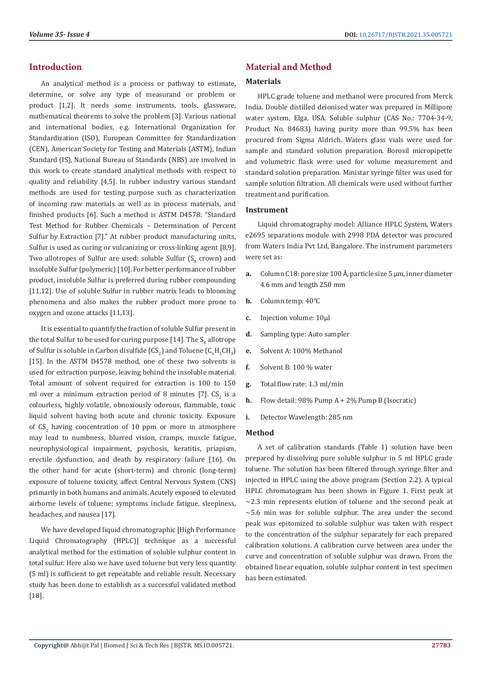#### **Introduction**

An analytical method is a process or pathway to estimate, determine, or solve any type of measurand or problem or product [1,2]. It needs some instruments, tools, glassware, mathematical theorems to solve the problem [3]. Various national and international bodies, e.g. International Organization for Standardization (ISO), European Committee for Standardization (CEN), American Society for Testing and Materials (ASTM), Indian Standard (IS), National Bureau of Standards (NBS) are involved in this work to create standard analytical methods with respect to quality and reliability [4,5]. In rubber industry various standard methods are used for testing purpose such as characterization of incoming raw materials as well as in process materials, and finished products [6]. Such a method is ASTM D4578: "Standard Test Method for Rubber Chemicals – Determination of Percent Sulfur by Extraction [7]." At rubber product manufacturing units, Sulfur is used as curing or vulcanizing or cross-linking agent [8,9]. Two allotropes of Sulfur are used: soluble Sulfur  $(S_8 \text{ crown})$  and insoluble Sulfur (polymeric) [10]. For better performance of rubber product, insoluble Sulfur is preferred during rubber compounding [11,12]. Use of soluble Sulfur in rubber matrix leads to blooming phenomena and also makes the rubber product more prone to oxygen and ozone attacks [11,13].

It is essential to quantify the fraction of soluble Sulfur present in the total Sulfur to be used for curing purpose [14]. The  $\mathrm{S}_8$  allotrope of Sulfur is soluble in Carbon disulfide (CS<sub>2</sub>) and Toluene (C<sub>6</sub>H<sub>5</sub>CH<sub>3</sub>) [15]. In the ASTM D4578 method, one of these two solvents is used for extraction purpose, leaving behind the insoluble material. Total amount of solvent required for extraction is 100 to 150 ml over a minimum extraction period of 8 minutes  $[7]$ . CS<sub>2</sub> is a colourless, highly volatile, obnoxiously odorous, flammable, toxic liquid solvent having both acute and chronic toxicity. Exposure of  $CS_2$  having concentration of 10 ppm or more in atmosphere may lead to numbness, blurred vision, cramps, muscle fatigue, neurophysiological impairment, psychosis, keratitis, priapism, erectile dysfunction, and death by respiratory failure [16]. On the other hand for acute (short-term) and chronic (long-term) exposure of toluene toxicity, affect Central Nervous System (CNS) primarily in both humans and animals. Acutely exposed to elevated airborne levels of toluene; symptoms include fatigue, sleepiness, headaches, and nausea [17].

We have developed liquid chromatographic [High Performance Liquid Chromatography (HPLC)] technique as a successful analytical method for the estimation of soluble sulphur content in total sulfur. Here also we have used toluene but very less quantity (5 ml) is sufficient to get repeatable and reliable result. Necessary study has been done to establish as a successful validated method [18].

# **Material and Method**

#### **Materials**

HPLC grade toluene and methanol were procured from Merck India. Double distilled deionised water was prepared in Millipore water system, Elga, USA. Soluble sulphur (CAS No.: 7704-34-9, Product No. 84683) having purity more than 99.5% has been procured from Sigma Aldrich. Waters glass vials were used for sample and standard solution preparation. Borosil micropipette and volumetric flask were used for volume measurement and standard solution preparation. Ministar syringe filter was used for sample solution filtration. All chemicals were used without further treatment and purification.

#### **Instrument**

Liquid chromatography model: Alliance HPLC System, Waters e2695 separations module with 2998 PDA detector was procured from Waters India Pvt Ltd, Bangalore. The instrument parameters were set as:

- **a.** Column C18: pore size 100 Å, particle size 5 µm, inner diameter 4.6 mm and length 250 mm
- **b.** Column temp: 40°C
- **c.** Injection volume: 10μl
- **d.** Sampling type: Auto sampler
- **e.** Solvent A: 100% Methanol
- **f.** Solvent B: 100 % water
- **g.** Total flow rate: 1.3 ml/min
- **h.** Flow detail: 98% Pump A + 2% Pump B (Isocratic)
- **i.** Detector Wavelength: 285 nm

#### **Method**

A set of calibration standards (Table 1) solution have been prepared by dissolving pure soluble sulphur in 5 ml HPLC grade toluene. The solution has been filtered through syringe filter and injected in HPLC using the above program (Section 2.2). A typical HPLC chromatogram has been shown in Figure 1. First peak at  $\sim$ 2.3 min represents elution of toluene and the second peak at  $\sim$  5.6 min was for soluble sulphur. The area under the second peak was epitomized to soluble sulphur was taken with respect to the concentration of the sulphur separately for each prepared calibration solutions. A calibration curve between area under the curve and concentration of soluble sulphur was drawn. From the obtained linear equation, soluble sulphur content in test specimen has been estimated.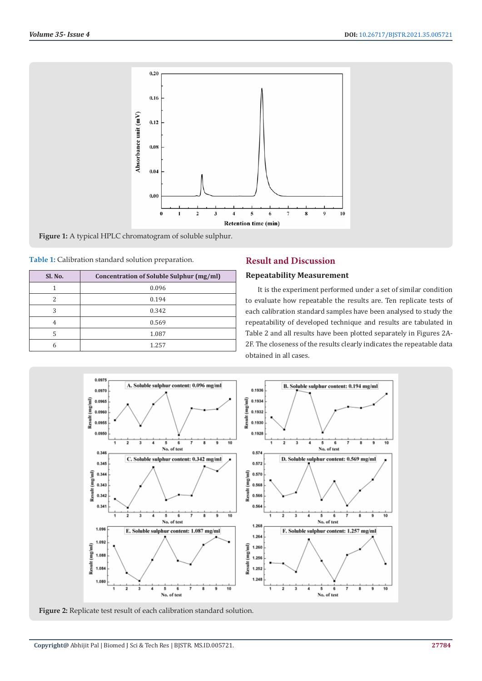

**Figure 1:** A typical HPLC chromatogram of soluble sulphur.

**Table 1:** Calibration standard solution preparation.

| Sl. No. | Concentration of Soluble Sulphur (mg/ml) |  |  |  |  |
|---------|------------------------------------------|--|--|--|--|
|         | 0.096                                    |  |  |  |  |
|         | 0.194                                    |  |  |  |  |
| 3       | 0.342                                    |  |  |  |  |
|         | 0.569                                    |  |  |  |  |
|         | 1.087                                    |  |  |  |  |
|         | 1.257                                    |  |  |  |  |

# **Result and Discussion**

#### **Repeatability Measurement**

It is the experiment performed under a set of similar condition to evaluate how repeatable the results are. Ten replicate tests of each calibration standard samples have been analysed to study the repeatability of developed technique and results are tabulated in Table 2 and all results have been plotted separately in Figures 2A-2F. The closeness of the results clearly indicates the repeatable data obtained in all cases.



**Figure 2:** Replicate test result of each calibration standard solution.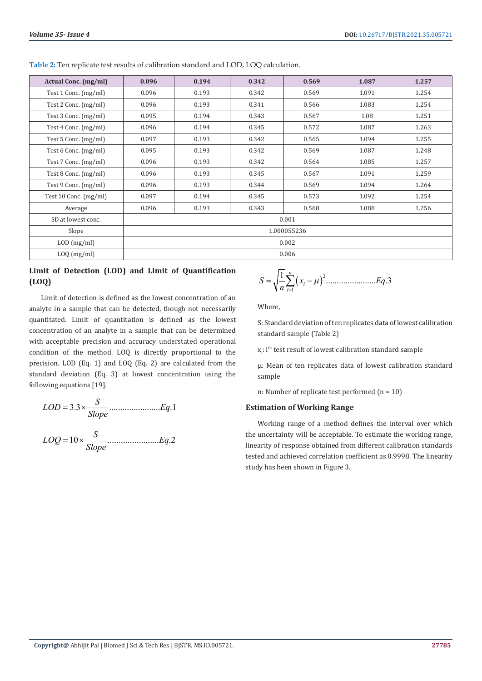| Actual Conc. (mg/ml)  | 0.096       | 0.194 | 0.342 | 0.569 | 1.087 | 1.257 |  |  |
|-----------------------|-------------|-------|-------|-------|-------|-------|--|--|
| Test 1 Conc. (mg/ml)  | 0.096       | 0.193 | 0.342 | 0.569 | 1.091 | 1.254 |  |  |
| Test 2 Conc. (mg/ml)  | 0.096       | 0.193 | 0.341 | 0.566 | 1.083 | 1.254 |  |  |
| Test 3 Conc. (mg/ml)  | 0.095       | 0.194 | 0.343 | 0.567 | 1.08  | 1.251 |  |  |
| Test 4 Conc. (mg/ml)  | 0.096       | 0.194 | 0.345 | 0.572 | 1.087 | 1.263 |  |  |
| Test 5 Conc. (mg/ml)  | 0.097       | 0.193 | 0.342 | 0.565 | 1.094 | 1.255 |  |  |
| Test 6 Conc. (mg/ml)  | 0.095       | 0.193 | 0.342 | 0.569 | 1.087 | 1.248 |  |  |
| Test 7 Conc. (mg/ml)  | 0.096       | 0.193 | 0.342 | 0.564 | 1.085 | 1.257 |  |  |
| Test 8 Conc. (mg/ml)  | 0.096       | 0.193 | 0.345 | 0.567 | 1.091 | 1.259 |  |  |
| Test 9 Conc. (mg/ml)  | 0.096       | 0.193 | 0.344 | 0.569 | 1.094 | 1.264 |  |  |
| Test 10 Conc. (mg/ml) | 0.097       | 0.194 | 0.345 | 0.573 | 1.092 | 1.254 |  |  |
| Average               | 0.096       | 0.193 | 0.343 | 0.568 | 1.088 | 1.256 |  |  |
| SD at lowest conc.    | 0.001       |       |       |       |       |       |  |  |
| Slope                 | 1.000055236 |       |       |       |       |       |  |  |
| $LOD$ (mg/ml)         | 0.002       |       |       |       |       |       |  |  |
| LOQ(mg/ml)            | 0.006       |       |       |       |       |       |  |  |

**Table 2:** Ten replicate test results of calibration standard and LOD, LOQ calculation.

# **Limit of Detection (LOD) and Limit of Quantification (LOQ)**

Limit of detection is defined as the lowest concentration of an analyte in a sample that can be detected, though not necessarily quantitated. Limit of quantitation is defined as the lowest concentration of an analyte in a sample that can be determined with acceptable precision and accuracy understated operational condition of the method. LOQ is directly proportional to the precision. LOD (Eq. 1) and LOQ (Eq. 2) are calculated from the standard deviation (Eq. 3) at lowest concentration using the following equations [19].

$$
LOD = 3.3 \times \frac{S}{Slope}
$$
............ $Eq.1$   

$$
LOQ = 10 \times \frac{S}{Slope}
$$
............ $Eq.2$ 

$$
S = \sqrt{\frac{1}{n} \sum_{i=1}^{n} (x_i - \mu)^2 \dots \dots \dots \dots \dots \dots \dots \dots Eq.3}
$$

Where,

1

*i*

S: Standard deviation of ten replicates data of lowest calibration standard sample (Table 2)

 $x_i$ : i<sup>th</sup> test result of lowest calibration standard sample

µ: Mean of ten replicates data of lowest calibration standard sample

n: Number of replicate test performed  $(n = 10)$ 

#### **Estimation of Working Range**

Working range of a method defines the interval over which the uncertainty will be acceptable. To estimate the working range, linearity of response obtained from different calibration standards tested and achieved correlation coefficient as 0.9998. The linearity study has been shown in Figure 3.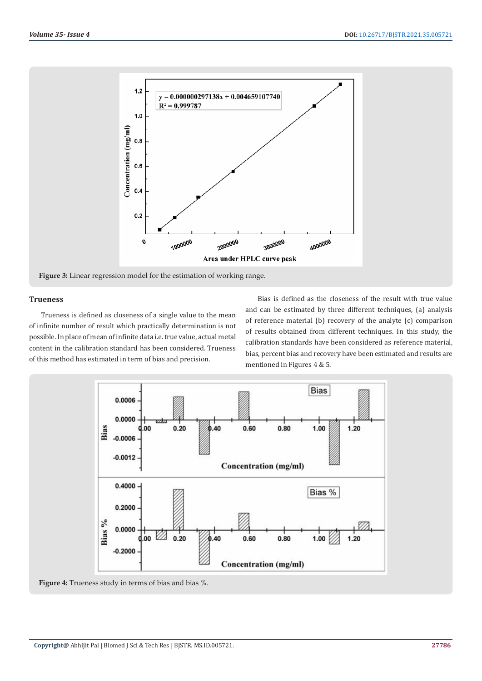

# **Trueness**

Trueness is defined as closeness of a single value to the mean of infinite number of result which practically determination is not possible. In place of mean of infinite data i.e. true value, actual metal content in the calibration standard has been considered. Trueness of this method has estimated in term of bias and precision.

Bias is defined as the closeness of the result with true value and can be estimated by three different techniques, (a) analysis of reference material (b) recovery of the analyte (c) comparison of results obtained from different techniques. In this study, the calibration standards have been considered as reference material, bias, percent bias and recovery have been estimated and results are mentioned in Figures 4 & 5.



**Figure 4:** Trueness study in terms of bias and bias %.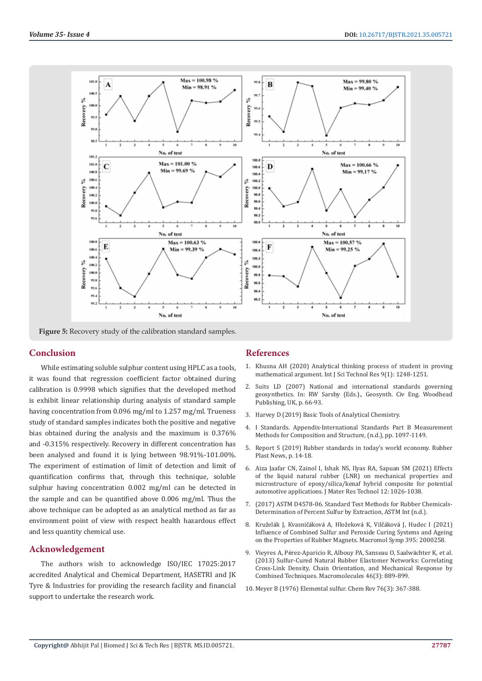

**Figure 5:** Recovery study of the calibration standard samples.

# **Conclusion**

While estimating soluble sulphur content using HPLC as a tools, it was found that regression coefficient factor obtained during calibration is 0.9998 which signifies that the developed method is exhibit linear relationship during analysis of standard sample having concentration from 0.096 mg/ml to 1.257 mg/ml. Trueness study of standard samples indicates both the positive and negative bias obtained during the analysis and the maximum is 0.376% and -0.315% respectively. Recovery in different concentration has been analysed and found it is lying between 98.91%-101.00%. The experiment of estimation of limit of detection and limit of quantification confirms that, through this technique, soluble sulphur having concentration 0.002 mg/ml can be detected in the sample and can be quantified above 0.006 mg/ml. Thus the above technique can be adopted as an analytical method as far as environment point of view with respect health hazardous effect and less quantity chemical use.

#### **Acknowledgement**

The authors wish to acknowledge ISO/IEC 17025:2017 accredited Analytical and Chemical Department, HASETRI and JK Tyre & Industries for providing the research facility and financial support to undertake the research work.

## **References**

- 1. [Khusna AH \(2020\) Analytical thinking process of student in proving](http://eprints.umm.ac.id/72274/) [mathematical argument. Int J Sci Technol Res 9\(1\): 1248-1251.](http://eprints.umm.ac.id/72274/)
- 2. Suits LD (2007) National and international standards governing geosynthetics. In: RW Sarsby (Eds.)., Geosynth. Civ Eng. Woodhead Publishing, UK, p. 66-93.
- 3. [Harvey D \(2019\) Basic Tools of Analytical Chemistry.](https://chem.libretexts.org/Bookshelves/Analytical_Chemistry/Book%3A_Analytical_Chemistry_2.1_(Harvey)/02%3A_Basic_Tools_of_Analytical_Chemistry)
- 4. [I Standards. Appendix-International Standards Part B Measurement](https://link.springer.com/content/pdf/bbm%3A978-3-540-30300-8%2F1.pdf) [Methods for Composition and Structure, \(n.d.\), pp. 1097-1149.](https://link.springer.com/content/pdf/bbm%3A978-3-540-30300-8%2F1.pdf)
- 5. [Report S \(2019\) Rubber standards in today's world economy. Rubber](https://s3-prod.rubbernews.com/2019-10/RPN%2010-21-19%20Tech%20Notebook.pdf) [Plast News, p. 14-18.](https://s3-prod.rubbernews.com/2019-10/RPN%2010-21-19%20Tech%20Notebook.pdf)
- 6. [Aiza Jaafar CN, Zainol I, Ishak NS, Ilyas RA, Sapuan SM \(2021\) Effects](https://www.sciencedirect.com/science/article/pii/S2238785421002465) [of the liquid natural rubber \(LNR\) on mechanical properties and](https://www.sciencedirect.com/science/article/pii/S2238785421002465) [microstructure of epoxy/silica/kenaf hybrid composite for potential](https://www.sciencedirect.com/science/article/pii/S2238785421002465) [automotive applications. J Mater Res Technol 12: 1026-1038.](https://www.sciencedirect.com/science/article/pii/S2238785421002465)
- 7. [\(2017\) ASTM D4578-06. Standard Test Methods for Rubber Chemicals-](https://www.astm.org/Standards/D4578.htm)[Determination of Percent Sulfur by Extraction, ASTM Int \(n.d.\).](https://www.astm.org/Standards/D4578.htm)
- 8. Kruželák J, Kvasničáková A, Hložeková K, Vilčáková [J, Hudec I \(2021\)](https://onlinelibrary.wiley.com/doi/epdf/10.1002/masy.202000258) [Influence of Combined Sulfur and Peroxide Curing Systems and Ageing](https://onlinelibrary.wiley.com/doi/epdf/10.1002/masy.202000258) [on the Properties of Rubber Magnets. Macromol Symp 395: 2000258.](https://onlinelibrary.wiley.com/doi/epdf/10.1002/masy.202000258)
- 9. Vieyres A, Pé[rez-Aparicio R, Albouy PA, Sanseau O, Saalw](https://pubs.acs.org/doi/10.1021/ma302563z)ächter K, et al. [\(2013\) Sulfur-Cured Natural Rubber Elastomer Networks: Correlating](https://pubs.acs.org/doi/10.1021/ma302563z) [Cross-Link Density, Chain Orientation, and Mechanical Response by](https://pubs.acs.org/doi/10.1021/ma302563z) [Combined Techniques. Macromolecules 46\(3\): 889-899.](https://pubs.acs.org/doi/10.1021/ma302563z)
- 10. [Meyer B \(1976\) Elemental sulfur. Chem Rev 76\(3\): 367-388.](https://pubs.acs.org/doi/10.1021/cr60301a003)